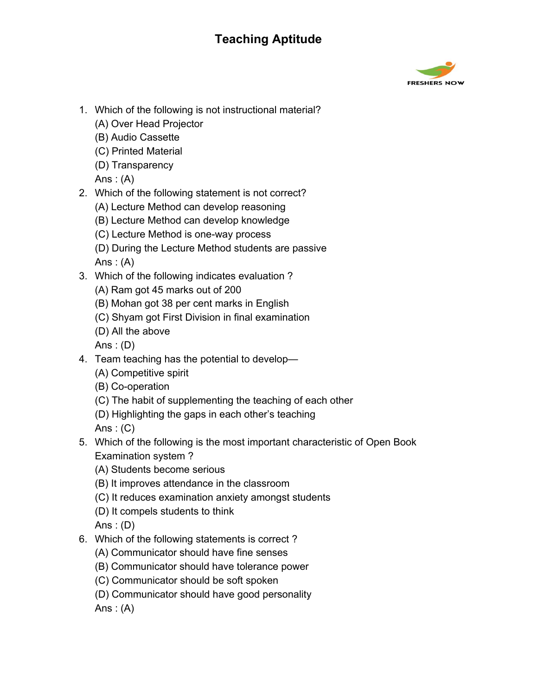

- 1. Which of the following is not instructional material?
	- (A) Over Head Projector
	- (B) Audio Cassette
	- (C) Printed Material
	- (D) Transparency

Ans:  $(A)$ 

- 2. Which of the following statement is not correct?
	- (A) Lecture Method can develop reasoning
	- (B) Lecture Method can develop knowledge
	- (C) Lecture Method is one-way process
	- (D) During the Lecture Method students are passive Ans :  $(A)$
- 3. Which of the following indicates evaluation ?
	- (A) Ram got 45 marks out of 200
	- (B) Mohan got 38 per cent marks in English
	- (C) Shyam got First Division in final examination
	- (D) All the above

Ans :  $(D)$ 

- 4. Team teaching has the potential to develop—
	- (A) Competitive spirit
	- (B) Co-operation
	- (C) The habit of supplementing the teaching of each other
	- (D) Highlighting the gaps in each other's teaching

Ans :  $(C)$ 

- 5. Which of the following is the most important characteristic of Open Book Examination system ?
	- (A) Students become serious
	- (B) It improves attendance in the classroom
	- (C) It reduces examination anxiety amongst students
	- (D) It compels students to think

Ans :  $(D)$ 

- 6. Which of the following statements is correct ?
	- (A) Communicator should have fine senses
	- (B) Communicator should have tolerance power
	- (C) Communicator should be soft spoken
	- (D) Communicator should have good personality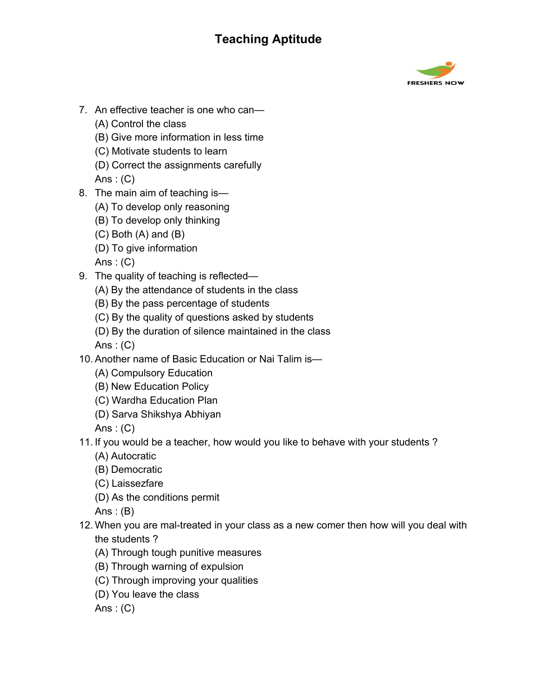

- 7. An effective teacher is one who can—
	- (A) Control the class
	- (B) Give more information in less time
	- (C) Motivate students to learn
	- (D) Correct the assignments carefully

Ans :  $(C)$ 

- 8. The main aim of teaching is—
	- (A) To develop only reasoning
	- (B) To develop only thinking
	- (C) Both (A) and (B)
	- (D) To give information

Ans :  $(C)$ 

- 9. The quality of teaching is reflected—
	- (A) By the attendance of students in the class
	- (B) By the pass percentage of students
	- (C) By the quality of questions asked by students
	- (D) By the duration of silence maintained in the class

Ans :  $(C)$ 

- 10. Another name of Basic Education or Nai Talim is—
	- (A) Compulsory Education
	- (B) New Education Policy
	- (C) Wardha Education Plan
	- (D) Sarva Shikshya Abhiyan

Ans :  $(C)$ 

- 11. If you would be a teacher, how would you like to behave with your students ?
	- (A) Autocratic
	- (B) Democratic
	- (C) Laissezfare
	- (D) As the conditions permit

Ans :  $(B)$ 

- 12. When you are mal-treated in your class as a new comer then how will you deal with the students ?
	- (A) Through tough punitive measures
	- (B) Through warning of expulsion
	- (C) Through improving your qualities
	- (D) You leave the class

Ans :  $(C)$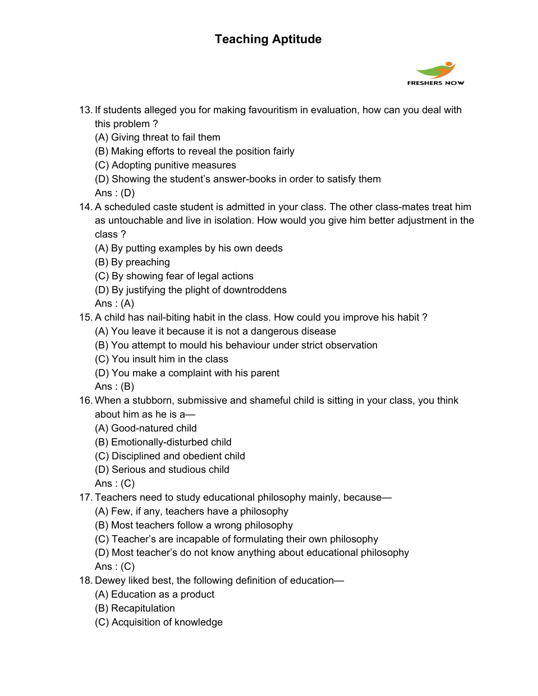

- 13. If students alleged you for making favouritism in evaluation, how can you deal with this problem ?
	- (A) Giving threat to fail them
	- (B) Making efforts to reveal the position fairly
	- (C) Adopting punitive measures
	- (D) Showing the student's answer-books in order to satisfy them

Ans :  $(D)$ 

- 14. A scheduled caste student is admitted in your class. The other class-mates treat him as untouchable and live in isolation. How would you give him better adjustment in the class ?
	- (A) By putting examples by his own deeds
	- (B) By preaching
	- (C) By showing fear of legal actions
	- (D) By justifying the plight of downtroddens

Ans:  $(A)$ 

- 15. A child has nail-biting habit in the class. How could you improve his habit ?
	- (A) You leave it because it is not a dangerous disease
	- (B) You attempt to mould his behaviour under strict observation
	- (C) You insult him in the class
	- (D) You make a complaint with his parent

Ans :  $(B)$ 

- 16. When a stubborn, submissive and shameful child is sitting in your class, you think about him as he is a—
	- (A) Good-natured child
	- (B) Emotionally-disturbed child
	- (C) Disciplined and obedient child
	- (D) Serious and studious child

Ans :  $(C)$ 

- 17. Teachers need to study educational philosophy mainly, because—
	- (A) Few, if any, teachers have a philosophy
	- (B) Most teachers follow a wrong philosophy
	- (C) Teacher's are incapable of formulating their own philosophy
	- (D) Most teacher's do not know anything about educational philosophy Ans :  $(C)$
- 18. Dewey liked best, the following definition of education—
	- (A) Education as a product
	- (B) Recapitulation
	- (C) Acquisition of knowledge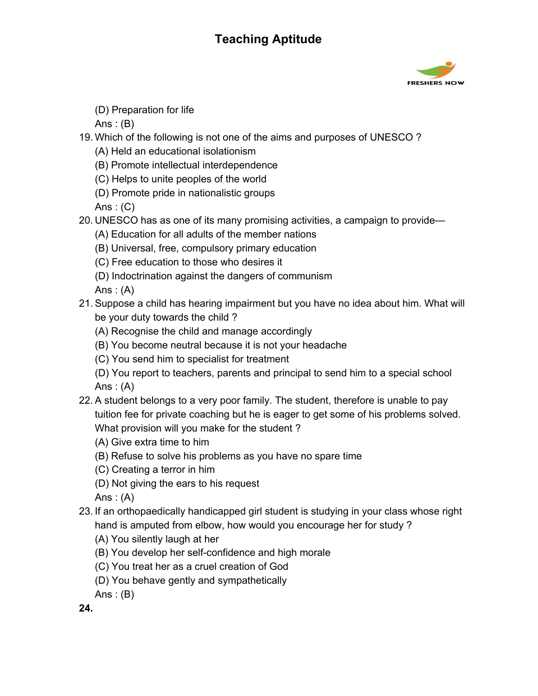

(D) Preparation for life

Ans :  $(B)$ 

- 19. Which of the following is not one of the aims and purposes of UNESCO ?
	- (A) Held an educational isolationism
	- (B) Promote intellectual interdependence
	- (C) Helps to unite peoples of the world
	- (D) Promote pride in nationalistic groups

Ans :  $(C)$ 

- 20. UNESCO has as one of its many promising activities, a campaign to provide—
	- (A) Education for all adults of the member nations
	- (B) Universal, free, compulsory primary education
	- (C) Free education to those who desires it
	- (D) Indoctrination against the dangers of communism

Ans:  $(A)$ 

- 21. Suppose a child has hearing impairment but you have no idea about him. What will be your duty towards the child ?
	- (A) Recognise the child and manage accordingly
	- (B) You become neutral because it is not your headache
	- (C) You send him to specialist for treatment
	- (D) You report to teachers, parents and principal to send him to a special school Ans  $: (A)$
- 22. A student belongs to a very poor family. The student, therefore is unable to pay tuition fee for private coaching but he is eager to get some of his problems solved. What provision will you make for the student ?
	- (A) Give extra time to him
	- (B) Refuse to solve his problems as you have no spare time
	- (C) Creating a terror in him
	- (D) Not giving the ears to his request

Ans :  $(A)$ 

- 23. If an orthopaedically handicapped girl student is studying in your class whose right hand is amputed from elbow, how would you encourage her for study ?
	- (A) You silently laugh at her
	- (B) You develop her self-confidence and high morale
	- (C) You treat her as a cruel creation of God
	- (D) You behave gently and sympathetically
	- Ans :  $(B)$

**24.**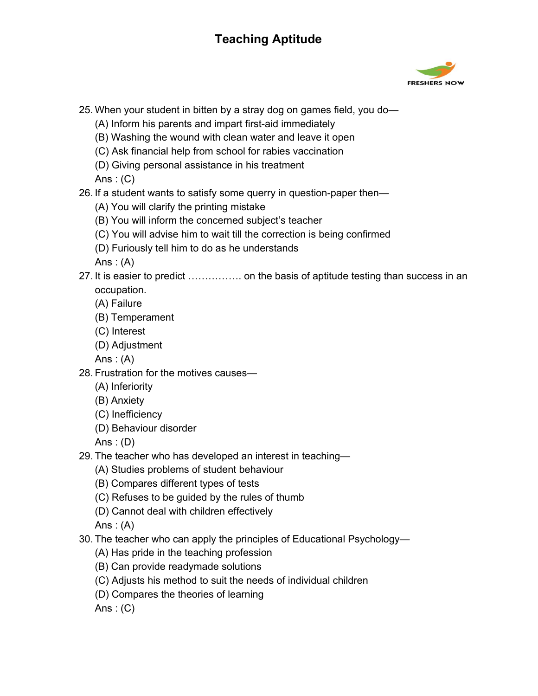

- 25. When your student in bitten by a stray dog on games field, you do—
	- (A) Inform his parents and impart first-aid immediately
	- (B) Washing the wound with clean water and leave it open
	- (C) Ask financial help from school for rabies vaccination
	- (D) Giving personal assistance in his treatment

Ans :  $(C)$ 

- 26. If a student wants to satisfy some querry in question-paper then—
	- (A) You will clarify the printing mistake
	- (B) You will inform the concerned subject's teacher
	- (C) You will advise him to wait till the correction is being confirmed
	- (D) Furiously tell him to do as he understands

Ans :  $(A)$ 

- 27. It is easier to predict ……………. on the basis of aptitude testing than success in an occupation.
	- (A) Failure
	- (B) Temperament
	- (C) Interest
	- (D) Adjustment

Ans :  $(A)$ 

- 28. Frustration for the motives causes—
	- (A) Inferiority
	- (B) Anxiety
	- (C) Inefficiency
	- (D) Behaviour disorder

Ans :  $(D)$ 

- 29. The teacher who has developed an interest in teaching—
	- (A) Studies problems of student behaviour
	- (B) Compares different types of tests
	- (C) Refuses to be guided by the rules of thumb
	- (D) Cannot deal with children effectively

Ans :  $(A)$ 

- 30. The teacher who can apply the principles of Educational Psychology—
	- (A) Has pride in the teaching profession
	- (B) Can provide readymade solutions
	- (C) Adjusts his method to suit the needs of individual children
	- (D) Compares the theories of learning

Ans :  $(C)$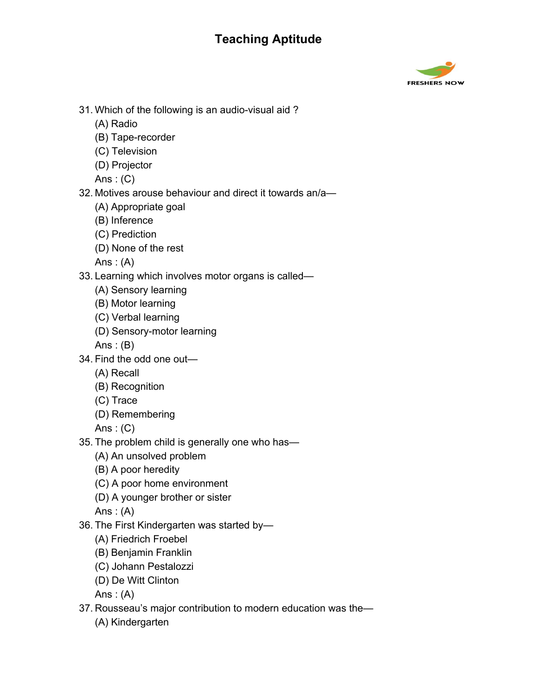

- 31. Which of the following is an audio-visual aid ?
	- (A) Radio
	- (B) Tape-recorder
	- (C) Television
	- (D) Projector

Ans :  $(C)$ 

- 32. Motives arouse behaviour and direct it towards an/a—
	- (A) Appropriate goal
	- (B) Inference
	- (C) Prediction
	- (D) None of the rest

Ans :  $(A)$ 

- 33. Learning which involves motor organs is called—
	- (A) Sensory learning
	- (B) Motor learning
	- (C) Verbal learning
	- (D) Sensory-motor learning
	- Ans :  $(B)$
- 34. Find the odd one out—
	- (A) Recall
	- (B) Recognition
	- (C) Trace
	- (D) Remembering
	- Ans :  $(C)$
- 35. The problem child is generally one who has—
	- (A) An unsolved problem
	- (B) A poor heredity
	- (C) A poor home environment
	- (D) A younger brother or sister

Ans :  $(A)$ 

- 36. The First Kindergarten was started by—
	- (A) Friedrich Froebel
	- (B) Benjamin Franklin
	- (C) Johann Pestalozzi
	- (D) De Witt Clinton

- 37. Rousseau's major contribution to modern education was the—
	- (A) Kindergarten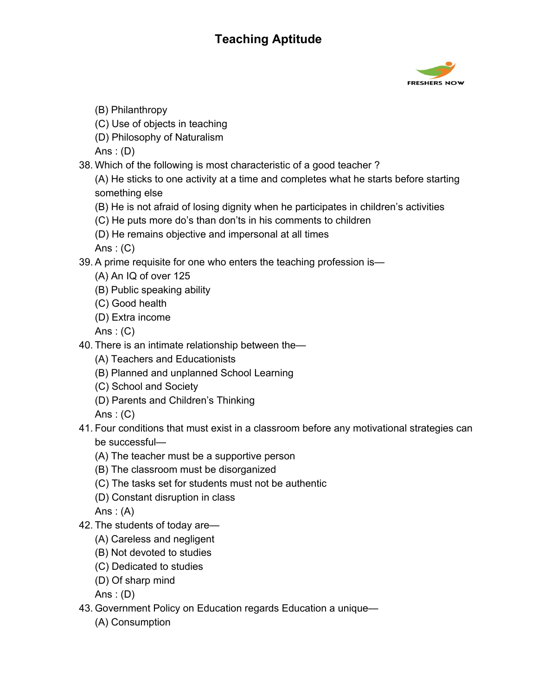

- (B) Philanthropy
- (C) Use of objects in teaching
- (D) Philosophy of Naturalism

Ans :  $(D)$ 

38. Which of the following is most characteristic of a good teacher ?

(A) He sticks to one activity at a time and completes what he starts before starting something else

- (B) He is not afraid of losing dignity when he participates in children's activities
- (C) He puts more do's than don'ts in his comments to children
- (D) He remains objective and impersonal at all times

Ans :  $(C)$ 

- 39. A prime requisite for one who enters the teaching profession is—
	- (A) An IQ of over 125
	- (B) Public speaking ability
	- (C) Good health
	- (D) Extra income

Ans :  $(C)$ 

- 40. There is an intimate relationship between the—
	- (A) Teachers and Educationists
	- (B) Planned and unplanned School Learning
	- (C) School and Society
	- (D) Parents and Children's Thinking

Ans :  $(C)$ 

- 41. Four conditions that must exist in a classroom before any motivational strategies can be successful—
	- (A) The teacher must be a supportive person
	- (B) The classroom must be disorganized
	- (C) The tasks set for students must not be authentic
	- (D) Constant disruption in class

Ans : (A)

- 42. The students of today are—
	- (A) Careless and negligent
	- (B) Not devoted to studies
	- (C) Dedicated to studies
	- (D) Of sharp mind

Ans :  $(D)$ 

- 43. Government Policy on Education regards Education a unique—
	- (A) Consumption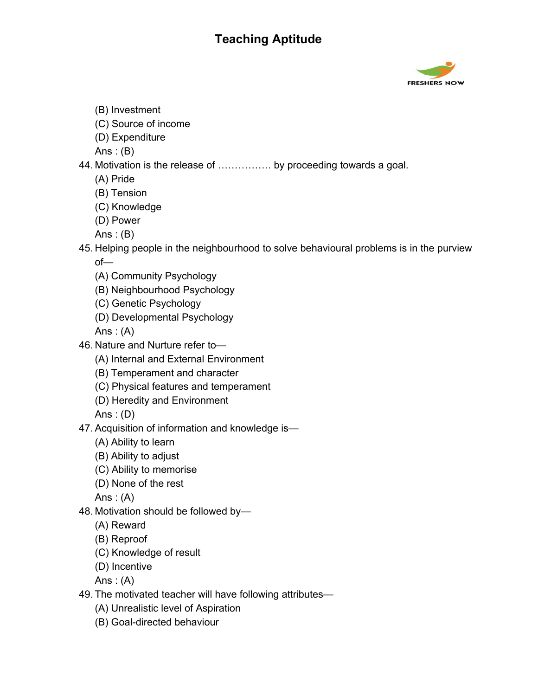

- (B) Investment
- (C) Source of income
- (D) Expenditure
- Ans :  $(B)$
- 44. Motivation is the release of ……………. by proceeding towards a goal.
	- (A) Pride
	- (B) Tension
	- (C) Knowledge
	- (D) Power
	- Ans :  $(B)$
- 45. Helping people in the neighbourhood to solve behavioural problems is in the purview of—
	- (A) Community Psychology
	- (B) Neighbourhood Psychology
	- (C) Genetic Psychology
	- (D) Developmental Psychology

Ans :  $(A)$ 

- 46. Nature and Nurture refer to—
	- (A) Internal and External Environment
	- (B) Temperament and character
	- (C) Physical features and temperament
	- (D) Heredity and Environment

Ans :  $(D)$ 

- 47. Acquisition of information and knowledge is—
	- (A) Ability to learn
	- (B) Ability to adjust
	- (C) Ability to memorise
	- (D) None of the rest

Ans :  $(A)$ 

- 48. Motivation should be followed by—
	- (A) Reward
	- (B) Reproof
	- (C) Knowledge of result
	- (D) Incentive

- 49. The motivated teacher will have following attributes—
	- (A) Unrealistic level of Aspiration
	- (B) Goal-directed behaviour